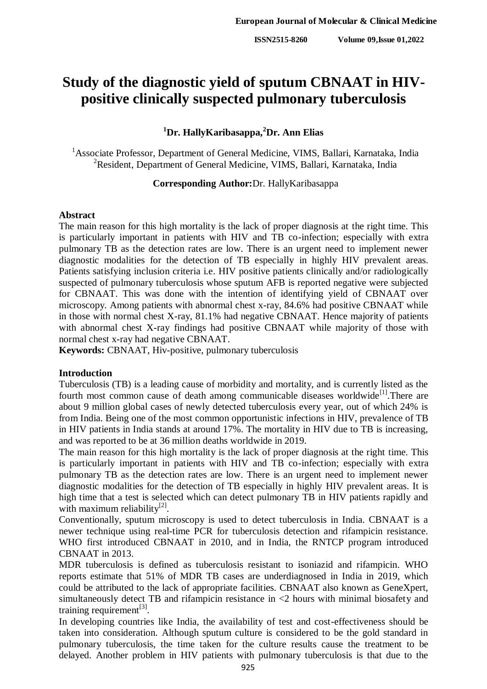# **Study of the diagnostic yield of sputum CBNAAT in HIVpositive clinically suspected pulmonary tuberculosis**

## **<sup>1</sup>Dr. HallyKaribasappa,<sup>2</sup>Dr. Ann Elias**

<sup>1</sup> Associate Professor, Department of General Medicine, VIMS, Ballari, Karnataka, India <sup>2</sup>Resident, Department of General Medicine, VIMS, Ballari, Karnataka, India

## **Corresponding Author:**Dr. HallyKaribasappa

## **Abstract**

The main reason for this high mortality is the lack of proper diagnosis at the right time. This is particularly important in patients with HIV and TB co-infection; especially with extra pulmonary TB as the detection rates are low. There is an urgent need to implement newer diagnostic modalities for the detection of TB especially in highly HIV prevalent areas. Patients satisfying inclusion criteria i.e. HIV positive patients clinically and/or radiologically suspected of pulmonary tuberculosis whose sputum AFB is reported negative were subjected for CBNAAT. This was done with the intention of identifying yield of CBNAAT over microscopy. Among patients with abnormal chest x-ray, 84.6% had positive CBNAAT while in those with normal chest X-ray, 81.1% had negative CBNAAT. Hence majority of patients with abnormal chest X-ray findings had positive CBNAAT while majority of those with normal chest x-ray had negative CBNAAT.

**Keywords:** CBNAAT, Hiv-positive, pulmonary tuberculosis

## **Introduction**

Tuberculosis (TB) is a leading cause of morbidity and mortality, and is currently listed as the fourth most common cause of death among communicable diseases worldwide<sup>[1]</sup>. There are about 9 million global cases of newly detected tuberculosis every year, out of which 24% is from India. Being one of the most common opportunistic infections in HIV, prevalence of TB in HIV patients in India stands at around 17%. The mortality in HIV due to TB is increasing, and was reported to be at 36 million deaths worldwide in 2019.

The main reason for this high mortality is the lack of proper diagnosis at the right time. This is particularly important in patients with HIV and TB co-infection; especially with extra pulmonary TB as the detection rates are low. There is an urgent need to implement newer diagnostic modalities for the detection of TB especially in highly HIV prevalent areas. It is high time that a test is selected which can detect pulmonary TB in HIV patients rapidly and with maximum reliability $^{[2]}$ .

Conventionally, sputum microscopy is used to detect tuberculosis in India. CBNAAT is a newer technique using real-time PCR for tuberculosis detection and rifampicin resistance. WHO first introduced CBNAAT in 2010, and in India, the RNTCP program introduced CBNAAT in 2013.

MDR tuberculosis is defined as tuberculosis resistant to isoniazid and rifampicin. WHO reports estimate that 51% of MDR TB cases are underdiagnosed in India in 2019, which could be attributed to the lack of appropriate facilities. CBNAAT also known as GeneXpert, simultaneously detect TB and rifampicin resistance in <2 hours with minimal biosafety and training requirement $^{[3]}$ .

In developing countries like India, the availability of test and cost-effectiveness should be taken into consideration. Although sputum culture is considered to be the gold standard in pulmonary tuberculosis, the time taken for the culture results cause the treatment to be delayed. Another problem in HIV patients with pulmonary tuberculosis is that due to the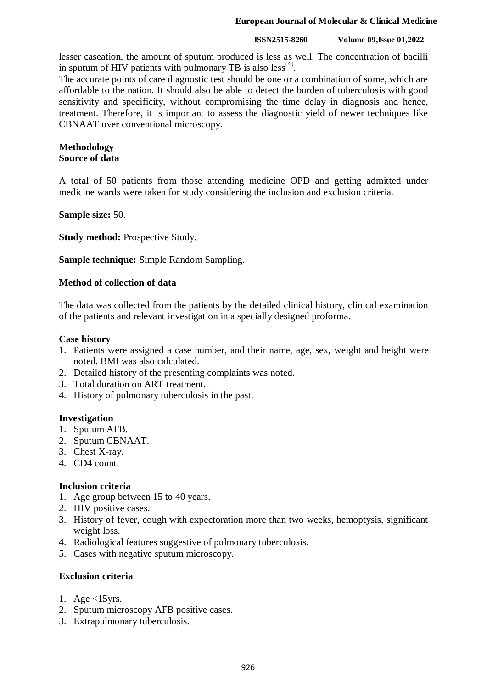### **European Journal of Molecular & Clinical Medicine**

#### **ISSN2515-8260 Volume 09,Issue 01,2022**

lesser caseation, the amount of sputum produced is less as well. The concentration of bacilli in sputum of HIV patients with pulmonary TB is also  $\text{less}^{[4]}$ .

The accurate points of care diagnostic test should be one or a combination of some, which are affordable to the nation. It should also be able to detect the burden of tuberculosis with good sensitivity and specificity, without compromising the time delay in diagnosis and hence, treatment. Therefore, it is important to assess the diagnostic yield of newer techniques like CBNAAT over conventional microscopy.

## **Methodology Source of data**

A total of 50 patients from those attending medicine OPD and getting admitted under medicine wards were taken for study considering the inclusion and exclusion criteria.

## **Sample size:** 50.

**Study method: Prospective Study.** 

**Sample technique:** Simple Random Sampling.

## **Method of collection of data**

The data was collected from the patients by the detailed clinical history, clinical examination of the patients and relevant investigation in a specially designed proforma.

## **Case history**

- 1. Patients were assigned a case number, and their name, age, sex, weight and height were noted. BMI was also calculated.
- 2. Detailed history of the presenting complaints was noted.
- 3. Total duration on ART treatment.
- 4. History of pulmonary tuberculosis in the past.

## **Investigation**

- 1. Sputum AFB.
- 2. Sputum CBNAAT.
- 3. Chest X-ray.
- 4. CD4 count.

## **Inclusion criteria**

- 1. Age group between 15 to 40 years.
- 2. HIV positive cases.
- 3. History of fever, cough with expectoration more than two weeks, hemoptysis, significant weight loss.
- 4. Radiological features suggestive of pulmonary tuberculosis.
- 5. Cases with negative sputum microscopy.

## **Exclusion criteria**

- 1. Age  $<$ 15 yrs.
- 2. Sputum microscopy AFB positive cases.
- 3. Extrapulmonary tuberculosis.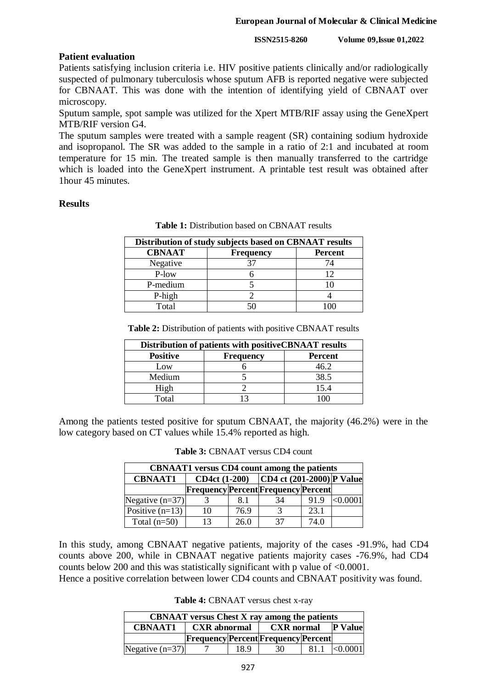**ISSN2515-8260 Volume 09,Issue 01,2022**

## **Patient evaluation**

Patients satisfying inclusion criteria i.e. HIV positive patients clinically and/or radiologically suspected of pulmonary tuberculosis whose sputum AFB is reported negative were subjected for CBNAAT. This was done with the intention of identifying yield of CBNAAT over microscopy.

Sputum sample, spot sample was utilized for the Xpert MTB/RIF assay using the GeneXpert MTB/RIF version G4.

The sputum samples were treated with a sample reagent (SR) containing sodium hydroxide and isopropanol. The SR was added to the sample in a ratio of 2:1 and incubated at room temperature for 15 min. The treated sample is then manually transferred to the cartridge which is loaded into the GeneXpert instrument. A printable test result was obtained after 1hour 45 minutes.

## **Results**

| Distribution of study subjects based on CBNAAT results |                  |         |  |
|--------------------------------------------------------|------------------|---------|--|
| <b>CBNAAT</b>                                          | <b>Frequency</b> | Percent |  |
| Negative                                               |                  | 74      |  |
| P-low                                                  |                  | 12      |  |
| P-medium                                               |                  |         |  |
| P-high                                                 |                  |         |  |
| Total                                                  |                  |         |  |

**Table 1:** Distribution based on CBNAAT results

**Table 2:** Distribution of patients with positive CBNAAT results

| Distribution of patients with positive CBNAAT results |                  |                |  |
|-------------------------------------------------------|------------------|----------------|--|
| <b>Positive</b>                                       | <b>Frequency</b> | <b>Percent</b> |  |
| Low                                                   |                  | 46.2           |  |
| Medium                                                |                  | 38.5           |  |
| High                                                  |                  | 15.4           |  |
| Total                                                 |                  |                |  |

Among the patients tested positive for sputum CBNAAT, the majority (46.2%) were in the low category based on CT values while 15.4% reported as high.

| <b>CBNAAT1</b> versus CD4 count among the patients |    |      |                                             |      |          |
|----------------------------------------------------|----|------|---------------------------------------------|------|----------|
| <b>CBNAAT1</b>                                     |    |      | CD4ct $(1-200)$ CD4 ct $(201-2000)$ P Value |      |          |
|                                                    |    |      | <b>Frequency Percent Frequency Percent</b>  |      |          |
| Negative $(n=37)$                                  |    | 8.1  | 34                                          | 91.9 | < 0.0001 |
| Positive $(n=13)$                                  | 10 | 76.9 | $\mathcal{R}$                               | 23.1 |          |
| Total $(n=50)$                                     | 13 | 26.0 | 37                                          | 74.0 |          |

**Table 3:** CBNAAT versus CD4 count

In this study, among CBNAAT negative patients, majority of the cases -91.9%, had CD4 counts above 200, while in CBNAAT negative patients majority cases -76.9%, had CD4 counts below 200 and this was statistically significant with p value of <0.0001.

Hence a positive correlation between lower CD4 counts and CBNAAT positivity was found.

**Table 4:** CBNAAT versus chest x-ray

| <b>CBNAAT</b> versus Chest X ray among the patients |                           |      |                                            |      |                |
|-----------------------------------------------------|---------------------------|------|--------------------------------------------|------|----------------|
| <b>CBNAAT1</b>                                      | CXR abnormal   CXR normal |      |                                            |      | <b>P</b> Value |
|                                                     |                           |      | <b>Frequency Percent Frequency Percent</b> |      |                |
| Negative $(n=37)$                                   |                           | 18.9 | 30                                         | 81.1 | <0.0001        |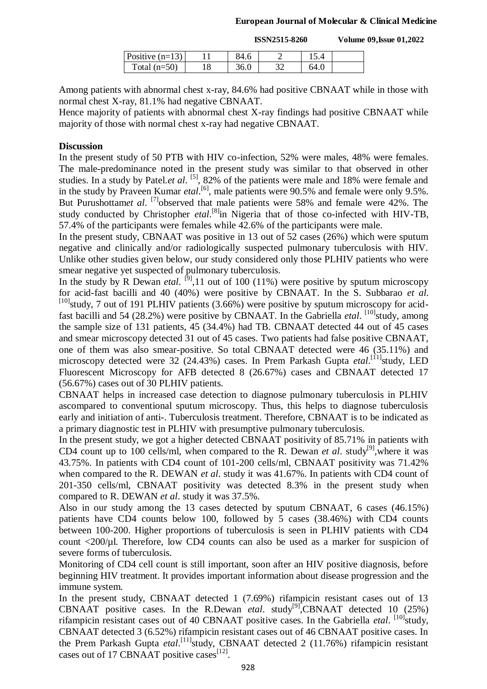**ISSN2515-8260 Volume 09,Issue 01,2022**

| Positive $(n=13)$ | 84.6 |      |  |
|-------------------|------|------|--|
| Total $(n=50)$    | 36.0 | 64.0 |  |

Among patients with abnormal chest x-ray, 84.6% had positive CBNAAT while in those with normal chest X-ray, 81.1% had negative CBNAAT.

Hence majority of patients with abnormal chest X-ray findings had positive CBNAAT while majority of those with normal chest x-ray had negative CBNAAT.

## **Discussion**

In the present study of 50 PTB with HIV co-infection, 52% were males, 48% were females. The male-predominance noted in the present study was similar to that observed in other studies. In a study by Patel.*et al.* <sup>[5]</sup>, 82% of the patients were male and 18% were female and in the study by Praveen Kumar *etal*.<sup>[6]</sup>, male patients were 90.5% and female were only 9.5%. But Purushottamet al. <sup>[7]</sup>observed that male patients were 58% and female were 42%. The study conducted by Christopher *etal*.<sup>[8]</sup>in Nigeria that of those co-infected with HIV-TB, 57.4% of the participants were females while 42.6% of the participants were male.

In the present study, CBNAAT was positive in 13 out of 52 cases (26%) which were sputum negative and clinically and/or radiologically suspected pulmonary tuberculosis with HIV. Unlike other studies given below, our study considered only those PLHIV patients who were smear negative yet suspected of pulmonary tuberculosis.

In the study by R Dewan *etal*. <sup>[9]</sup>,11 out of 100 (11%) were positive by sputum microscopy for acid-fast bacilli and 40 (40%) were positive by CBNAAT. In the S. Subbarao *et al*.  $^{[10]}$ study, 7 out of 191 PLHIV patients (3.66%) were positive by sputum microscopy for acidfast bacilli and 54 (28.2%) were positive by CBNAAT. In the Gabriella *etal*. <sup>[10]</sup>study, among the sample size of 131 patients, 45 (34.4%) had TB. CBNAAT detected 44 out of 45 cases and smear microscopy detected 31 out of 45 cases. Two patients had false positive CBNAAT, one of them was also smear-positive. So total CBNAAT detected were 46 (35.11%) and microscopy detected were 32 (24.43%) cases. In Prem Parkash Gupta *etal*.<sup>[11]</sup>study, LED Fluorescent Microscopy for AFB detected 8 (26.67%) cases and CBNAAT detected 17 (56.67%) cases out of 30 PLHIV patients.

CBNAAT helps in increased case detection to diagnose pulmonary tuberculosis in PLHIV ascompared to conventional sputum microscopy. Thus, this helps to diagnose tuberculosis early and initiation of anti-. Tuberculosis treatment. Therefore, CBNAAT is to be indicated as a primary diagnostic test in PLHIV with presumptive pulmonary tuberculosis.

In the present study, we got a higher detected CBNAAT positivity of 85.71% in patients with CD4 count up to 100 cells/ml, when compared to the R. Dewan *et al.* study<sup>[9]</sup>, where it was 43.75%. In patients with CD4 count of 101-200 cells/ml, CBNAAT positivity was 71.42% when compared to the R. DEWAN *et al*. study it was 41.67%. In patients with CD4 count of 201-350 cells/ml, CBNAAT positivity was detected 8.3% in the present study when compared to R. DEWAN *et al*. study it was 37.5%.

Also in our study among the 13 cases detected by sputum CBNAAT, 6 cases (46.15%) patients have CD4 counts below 100, followed by 5 cases (38.46%) with CD4 counts between 100-200. Higher proportions of tuberculosis is seen in PLHIV patients with CD4 count <200/µl. Therefore, low CD4 counts can also be used as a marker for suspicion of severe forms of tuberculosis.

Monitoring of CD4 cell count is still important, soon after an HIV positive diagnosis, before beginning HIV treatment. It provides important information about disease progression and the immune system.

In the present study, CBNAAT detected 1 (7.69%) rifampicin resistant cases out of 13 CBNAAT positive cases. In the R.Dewan *etal*. study<sup>[9]</sup>,CBNAAT detected 10 (25%) rifampicin resistant cases out of 40 CBNAAT positive cases. In the Gabriella *etal*. <sup>[10]</sup>study, CBNAAT detected 3 (6.52%) rifampicin resistant cases out of 46 CBNAAT positive cases. In the Prem Parkash Gupta etal.<sup>[11]</sup>study, CBNAAT detected 2 (11.76%) rifampicin resistant cases out of 17 CBNAAT positive cases<sup>[12]</sup>.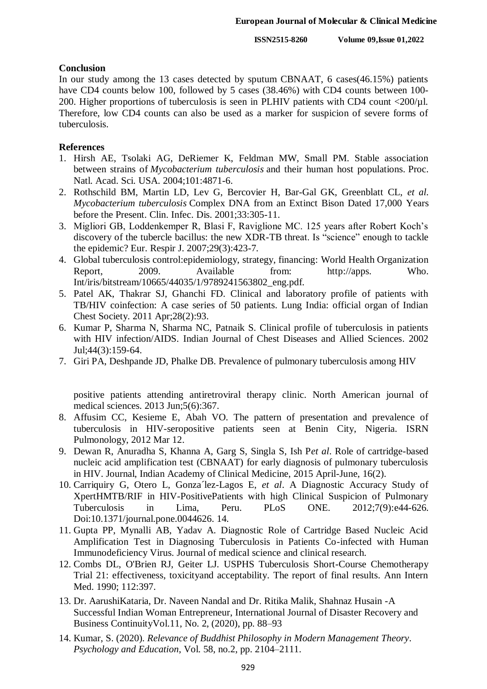### **Conclusion**

In our study among the 13 cases detected by sputum CBNAAT, 6 cases(46.15%) patients have CD4 counts below 100, followed by 5 cases (38.46%) with CD4 counts between 100-200. Higher proportions of tuberculosis is seen in PLHIV patients with CD4 count  $\langle 200/\mu$ l. Therefore, low CD4 counts can also be used as a marker for suspicion of severe forms of tuberculosis.

## **References**

- 1. Hirsh AE, Tsolaki AG, DeRiemer K, Feldman MW, Small PM. Stable association between strains of *Mycobacterium tuberculosis* and their human host populations. Proc. Natl. Acad. Sci. USA. 2004;101:4871-6.
- 2. Rothschild BM, Martin LD, Lev G, Bercovier H, Bar-Gal GK, Greenblatt CL, *et al*. *Mycobacterium tuberculosis* Complex DNA from an Extinct Bison Dated 17,000 Years before the Present. Clin. Infec. Dis. 2001;33:305-11.
- 3. Migliori GB, Loddenkemper R, Blasi F, Raviglione MC. 125 years after Robert Koch's discovery of the tubercle bacillus: the new XDR-TB threat. Is "science" enough to tackle the epidemic? Eur. Respir J. 2007;29(3):423-7.
- 4. Global tuberculosis control:epidemiology, strategy, financing: World Health Organization Report, 2009. Available from: http://apps. Who. Int/iris/bitstream/10665/44035/1/9789241563802\_eng.pdf.
- 5. Patel AK, Thakrar SJ, Ghanchi FD. Clinical and laboratory profile of patients with TB/HIV coinfection: A case series of 50 patients. Lung India: official organ of Indian Chest Society. 2011 Apr;28(2):93.
- 6. Kumar P, Sharma N, Sharma NC, Patnaik S. Clinical profile of tuberculosis in patients with HIV infection/AIDS. Indian Journal of Chest Diseases and Allied Sciences. 2002 Jul;44(3):159-64.
- 7. Giri PA, Deshpande JD, Phalke DB. Prevalence of pulmonary tuberculosis among HIV

positive patients attending antiretroviral therapy clinic. North American journal of medical sciences. 2013 Jun;5(6):367.

- 8. Affusim CC, Kesieme E, Abah VO. The pattern of presentation and prevalence of tuberculosis in HIV-seropositive patients seen at Benin City, Nigeria. ISRN Pulmonology, 2012 Mar 12.
- 9. Dewan R, Anuradha S, Khanna A, Garg S, Singla S, Ish P*et al*. Role of cartridge-based nucleic acid amplification test (CBNAAT) for early diagnosis of pulmonary tuberculosis in HIV. Journal, Indian Academy of Clinical Medicine, 2015 April-June, 16(2).
- 10. Carriquiry G, Otero L, Gonza´lez-Lagos E, *et al*. A Diagnostic Accuracy Study of XpertHMTB/RIF in HIV-PositivePatients with high Clinical Suspicion of Pulmonary Tuberculosis in Lima, Peru. PLoS ONE. 2012;7(9):e44-626. Doi:10.1371/journal.pone.0044626. 14.
- 11. Gupta PP, Mynalli AB, Yadav A. Diagnostic Role of Cartridge Based Nucleic Acid Amplification Test in Diagnosing Tuberculosis in Patients Co-infected with Human Immunodeficiency Virus. Journal of medical science and clinical research.
- 12. Combs DL, O'Brien RJ, Geiter LJ. USPHS Tuberculosis Short-Course Chemotherapy Trial 21: effectiveness, toxicityand acceptability. The report of final results. Ann Intern Med. 1990; 112:397.
- 13. Dr. AarushiKataria, Dr. Naveen Nandal and Dr. Ritika Malik, Shahnaz Husain -A Successful Indian Woman Entrepreneur, International Journal of Disaster Recovery and Business ContinuityVol.11, No. 2, (2020), pp. 88–93
- 14. Kumar, S. (2020). *Relevance of Buddhist Philosophy in Modern Management Theory*. *Psychology and Education*, Vol. 58, no.2, pp. 2104–2111.